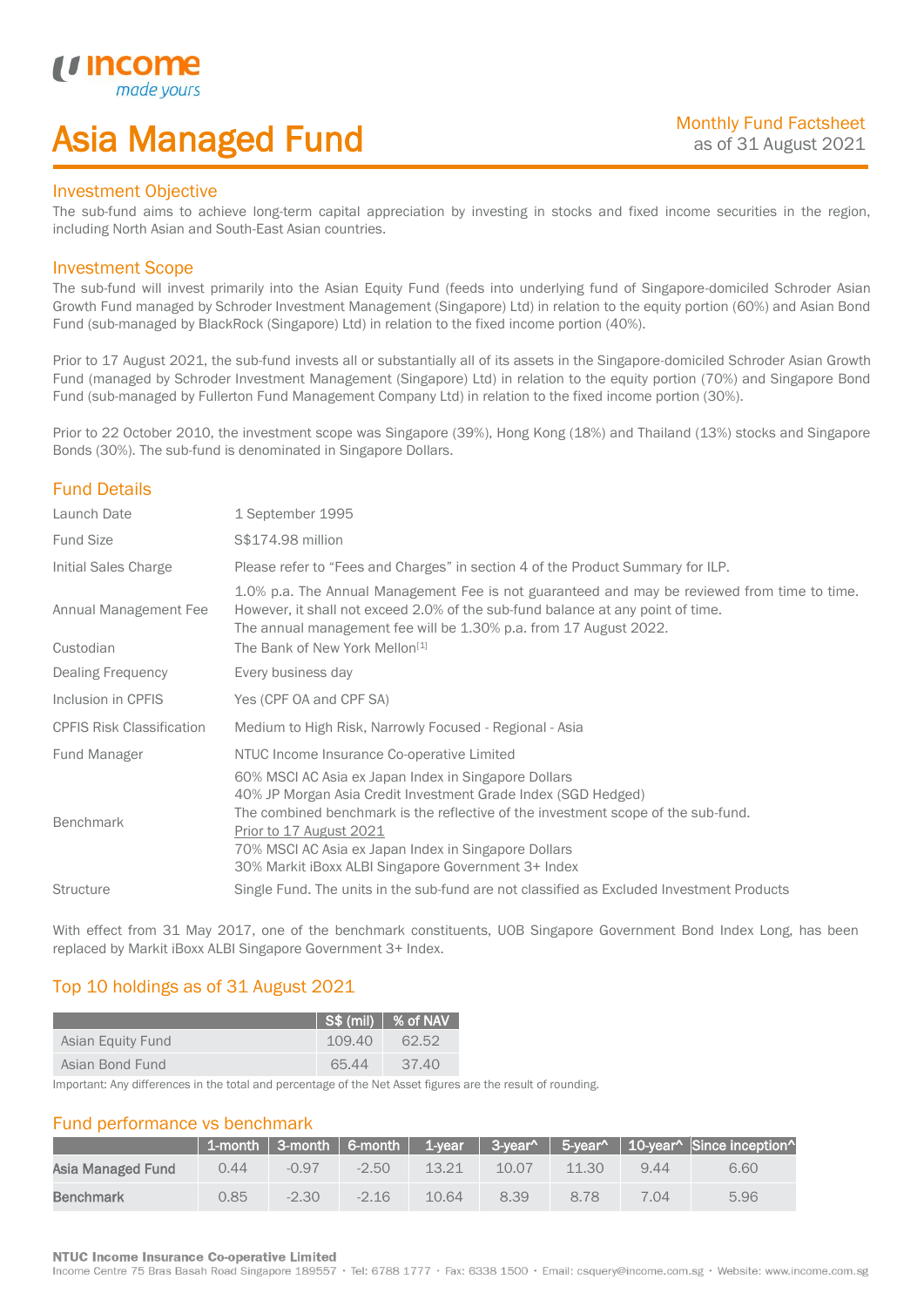## Asia Managed Fund

### Investment Objective

*i i* Incol

I

The sub-fund aims to achieve long-term capital appreciation by investing in stocks and fixed income securities in the region, including North Asian and South-East Asian countries.

### Investment Scope

The sub-fund will invest primarily into the Asian Equity Fund (feeds into underlying fund of Singapore-domiciled Schroder Asian Growth Fund managed by Schroder Investment Management (Singapore) Ltd) in relation to the equity portion (60%) and Asian Bond Fund (sub-managed by BlackRock (Singapore) Ltd) in relation to the fixed income portion (40%).

Prior to 17 August 2021, the sub-fund invests all or substantially all of its assets in the Singapore-domiciled Schroder Asian Growth Fund (managed by Schroder Investment Management (Singapore) Ltd) in relation to the equity portion (70%) and Singapore Bond Fund (sub-managed by Fullerton Fund Management Company Ltd) in relation to the fixed income portion (30%).

Prior to 22 October 2010, the investment scope was Singapore (39%), Hong Kong (18%) and Thailand (13%) stocks and Singapore Bonds (30%). The sub-fund is denominated in Singapore Dollars.

### Fund Details

| Launch Date                        | 1 September 1995                                                                                                                                                                                                                                                                                                                                     |
|------------------------------------|------------------------------------------------------------------------------------------------------------------------------------------------------------------------------------------------------------------------------------------------------------------------------------------------------------------------------------------------------|
| <b>Fund Size</b>                   | S\$174.98 million                                                                                                                                                                                                                                                                                                                                    |
| Initial Sales Charge               | Please refer to "Fees and Charges" in section 4 of the Product Summary for ILP.                                                                                                                                                                                                                                                                      |
| Annual Management Fee<br>Custodian | 1.0% p.a. The Annual Management Fee is not guaranteed and may be reviewed from time to time.<br>However, it shall not exceed 2.0% of the sub-fund balance at any point of time.<br>The annual management fee will be 1.30% p.a. from 17 August 2022.<br>The Bank of New York Mellon <sup>[1]</sup>                                                   |
| <b>Dealing Frequency</b>           | Every business day                                                                                                                                                                                                                                                                                                                                   |
| Inclusion in CPFIS                 | Yes (CPF OA and CPF SA)                                                                                                                                                                                                                                                                                                                              |
| <b>CPFIS Risk Classification</b>   | Medium to High Risk, Narrowly Focused - Regional - Asia                                                                                                                                                                                                                                                                                              |
| Fund Manager                       | NTUC Income Insurance Co-operative Limited                                                                                                                                                                                                                                                                                                           |
| <b>Benchmark</b>                   | 60% MSCI AC Asia ex Japan Index in Singapore Dollars<br>40% JP Morgan Asia Credit Investment Grade Index (SGD Hedged)<br>The combined benchmark is the reflective of the investment scope of the sub-fund.<br>Prior to 17 August 2021<br>70% MSCI AC Asia ex Japan Index in Singapore Dollars<br>30% Markit iBoxx ALBI Singapore Government 3+ Index |
| <b>Structure</b>                   | Single Fund. The units in the sub-fund are not classified as Excluded Investment Products                                                                                                                                                                                                                                                            |

With effect from 31 May 2017, one of the benchmark constituents, UOB Singapore Government Bond Index Long, has been replaced by Markit iBoxx ALBI Singapore Government 3+ Index.

## Top 10 holdings as of 31 August 2021

|                   |        | $\frac{1}{1}$ S\$ (mil) $\frac{1}{1}$ % of NAV |
|-------------------|--------|------------------------------------------------|
| Asian Equity Fund | 109.40 | 62.52                                          |
| Asian Bond Fund   | 65.44  | 37.40                                          |

Important: Any differences in the total and percentage of the Net Asset figures are the result of rounding.

### Fund performance vs benchmark

|                   |                |         |         |       |       |       |      | 1-month   3-month   6-month   1-year   3-year^   5-year^   10-year^ Since inception^ |
|-------------------|----------------|---------|---------|-------|-------|-------|------|--------------------------------------------------------------------------------------|
| Asia Managed Fund | 0.44           | $-0.97$ | $-2.50$ | 13.21 | 10.07 | 11.30 | 944  | 6.60                                                                                 |
| Benchmark         | $0.85^{\circ}$ | $-2.30$ | $-216$  | 10.64 | 8.39  | 8.78  | 7.04 | 5.96                                                                                 |

### **NTUC Income Insurance Co-operative Limited**

Income Centre 75 Bras Basah Road Singapore 189557 · Tel: 6788 1777 · Fax: 6338 1500 · Email: csquery@income.com.sg · Website: www.income.com.sg